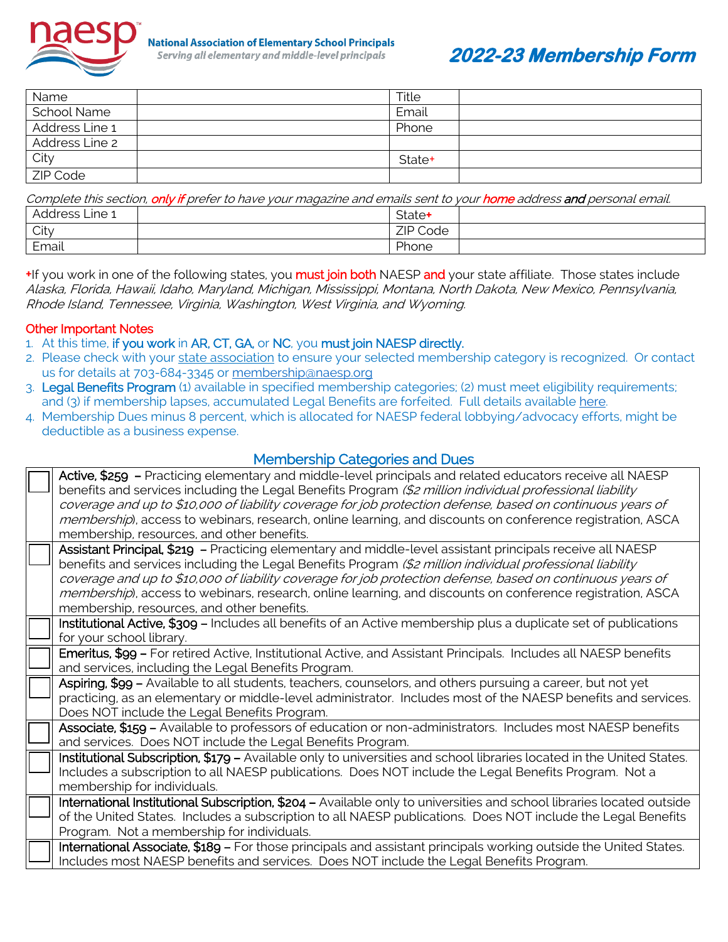

# **2022-23 Membership Form**

| Name           | Title  |  |
|----------------|--------|--|
| School Name    | Email  |  |
| Address Line 1 | Phone  |  |
| Address Line 2 |        |  |
| City           | State+ |  |
| ZIP Code       |        |  |

| Complete this section, only if prefer to have your magazine and emails sent to your home address and personal email. |                    |  |  |  |  |  |  |
|----------------------------------------------------------------------------------------------------------------------|--------------------|--|--|--|--|--|--|
| Address Line 1                                                                                                       | State <sup>+</sup> |  |  |  |  |  |  |
| City                                                                                                                 | ZIP Code           |  |  |  |  |  |  |
| Email                                                                                                                | Phone              |  |  |  |  |  |  |

+If you work in one of the following states, you **must join both** NAESP and your state affiliate. Those states include Alaska, Florida, Hawaii, Idaho, Maryland, Michigan, Mississippi, Montana, North Dakota, New Mexico, Pennsylvania, Rhode Island, Tennessee, Virginia, Washington, West Virginia, and Wyoming.

### Other Important Notes

- 1. At this time, if you work in AR, CT, GA, or NC, you must join NAESP directly.
- 2. Please check with your [state association](https://www.naesp.org/about/state-affiliates/) to ensure your selected membership category is recognized. Or contact us for details at 703-684-3345 or [membership@naesp.org](mailto:membership@naesp.org)
- 3. Legal Benefits Program (1) available in specified membership categories; (2) must meet eligibility requirements; and (3) if membership lapses, accumulated Legal Benefits are forfeited. Full details available [here.](https://www.naesp.org/membership/legal-benefits/)
- 4. Membership Dues minus 8 percent, which is allocated for NAESP federal lobbying/advocacy efforts, might be deductible as a business expense.

## Membership Categories and Dues

| Active, \$259 - Practicing elementary and middle-level principals and related educators receive all NAESP<br>benefits and services including the Legal Benefits Program (\$2 million individual professional liability<br>coverage and up to \$10,000 of liability coverage for job protection defense, based on continuous years of<br>membership), access to webinars, research, online learning, and discounts on conference registration, ASCA<br>membership, resources, and other benefits.  |
|---------------------------------------------------------------------------------------------------------------------------------------------------------------------------------------------------------------------------------------------------------------------------------------------------------------------------------------------------------------------------------------------------------------------------------------------------------------------------------------------------|
| Assistant Principal, \$219 - Practicing elementary and middle-level assistant principals receive all NAESP<br>benefits and services including the Legal Benefits Program (\$2 million individual professional liability<br>coverage and up to \$10,000 of liability coverage for job protection defense, based on continuous years of<br>membership), access to webinars, research, online learning, and discounts on conference registration, ASCA<br>membership, resources, and other benefits. |
| Institutional Active, \$309 - Includes all benefits of an Active membership plus a duplicate set of publications<br>for your school library.                                                                                                                                                                                                                                                                                                                                                      |
| Emeritus, \$99 - For retired Active, Institutional Active, and Assistant Principals. Includes all NAESP benefits<br>and services, including the Legal Benefits Program.                                                                                                                                                                                                                                                                                                                           |
| Aspiring, \$99 - Available to all students, teachers, counselors, and others pursuing a career, but not yet<br>practicing, as an elementary or middle-level administrator. Includes most of the NAESP benefits and services.<br>Does NOT include the Legal Benefits Program.                                                                                                                                                                                                                      |
| Associate, \$159 - Available to professors of education or non-administrators. Includes most NAESP benefits<br>and services. Does NOT include the Legal Benefits Program.                                                                                                                                                                                                                                                                                                                         |
| Institutional Subscription, \$179 - Available only to universities and school libraries located in the United States.<br>Includes a subscription to all NAESP publications. Does NOT include the Legal Benefits Program. Not a<br>membership for individuals.                                                                                                                                                                                                                                     |
| International Institutional Subscription, \$204 - Available only to universities and school libraries located outside<br>of the United States. Includes a subscription to all NAESP publications. Does NOT include the Legal Benefits<br>Program. Not a membership for individuals.                                                                                                                                                                                                               |
| International Associate, \$189 - For those principals and assistant principals working outside the United States.<br>Includes most NAESP benefits and services. Does NOT include the Legal Benefits Program.                                                                                                                                                                                                                                                                                      |